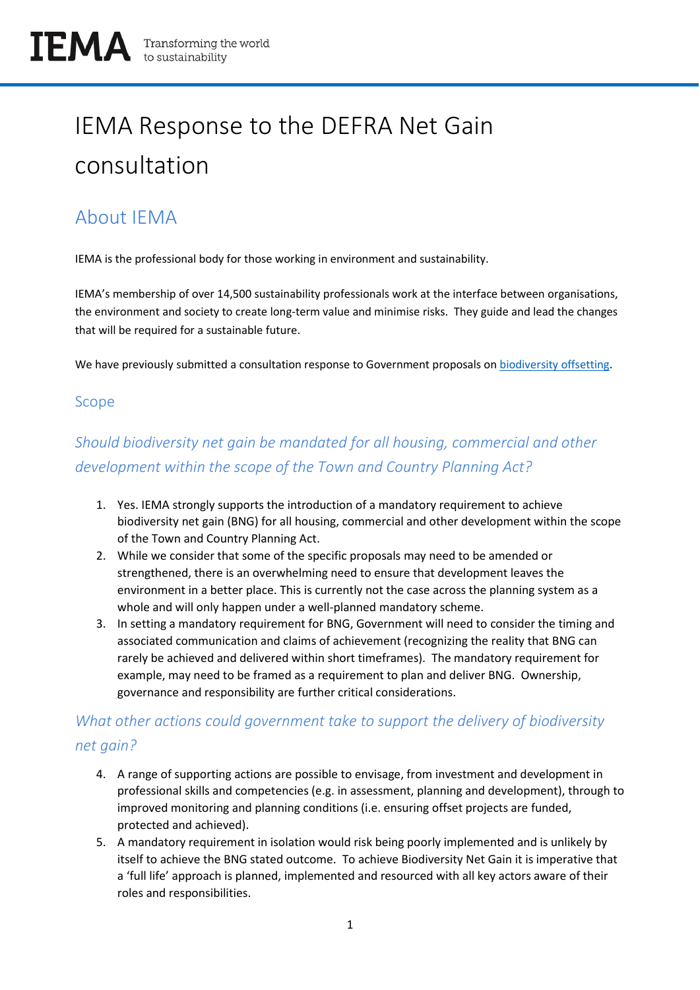# IEMA Response to the DEFRA Net Gain consultation

## About IEMA

IEMA is the professional body for those working in environment and sustainability.

IEMA's membership of over 14,500 sustainability professionals work at the interface between organisations, the environment and society to create long-term value and minimise risks. They guide and lead the changes that will be required for a sustainable future.

We have previously submitted a consultation response to Government proposals on [biodiversity offsetting.](https://www.iema.net/reading-room/2016/01/12/iemas-response-to-biodiversity-offsetting-in-england-green-paper-november-2013/)

#### Scope

## *Should biodiversity net gain be mandated for all housing, commercial and other development within the scope of the Town and Country Planning Act?*

- 1. Yes. IEMA strongly supports the introduction of a mandatory requirement to achieve biodiversity net gain (BNG) for all housing, commercial and other development within the scope of the Town and Country Planning Act.
- 2. While we consider that some of the specific proposals may need to be amended or strengthened, there is an overwhelming need to ensure that development leaves the environment in a better place. This is currently not the case across the planning system as a whole and will only happen under a well-planned mandatory scheme.
- 3. In setting a mandatory requirement for BNG, Government will need to consider the timing and associated communication and claims of achievement (recognizing the reality that BNG can rarely be achieved and delivered within short timeframes). The mandatory requirement for example, may need to be framed as a requirement to plan and deliver BNG. Ownership, governance and responsibility are further critical considerations.

## *What other actions could government take to support the delivery of biodiversity net gain?*

- 4. A range of supporting actions are possible to envisage, from investment and development in professional skills and competencies (e.g. in assessment, planning and development), through to improved monitoring and planning conditions (i.e. ensuring offset projects are funded, protected and achieved).
- 5. A mandatory requirement in isolation would risk being poorly implemented and is unlikely by itself to achieve the BNG stated outcome. To achieve Biodiversity Net Gain it is imperative that a 'full life' approach is planned, implemented and resourced with all key actors aware of their roles and responsibilities.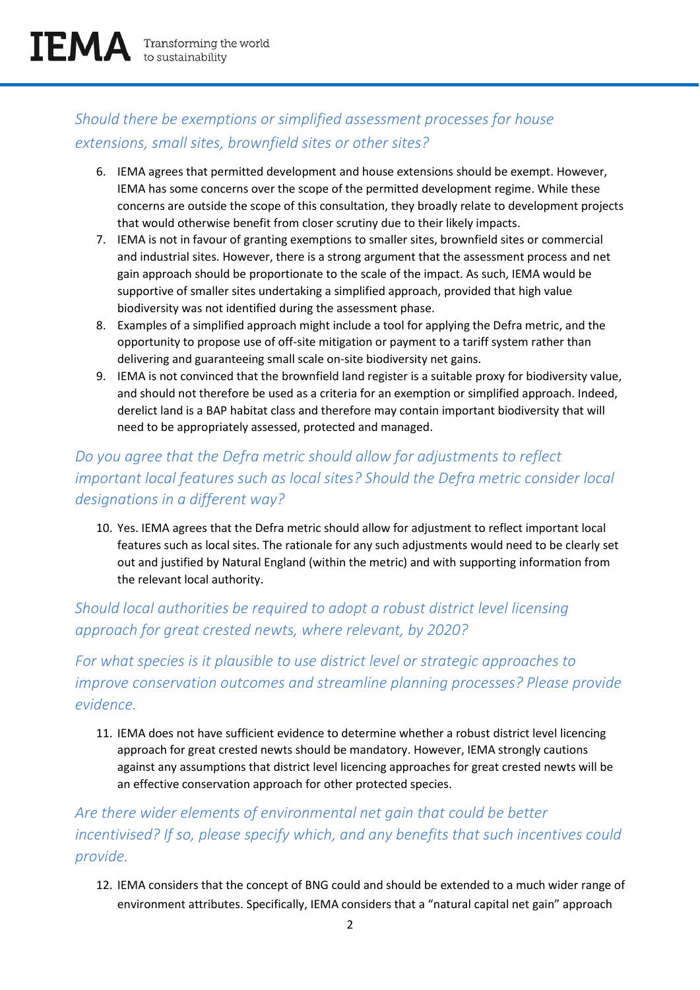## *Should there be exemptions or simplified assessment processes for house extensions, small sites, brownfield sites or other sites?*

- 6. IEMA agrees that permitted development and house extensions should be exempt. However, IEMA has some concerns over the scope of the permitted development regime. While these concerns are outside the scope of this consultation, they broadly relate to development projects that would otherwise benefit from closer scrutiny due to their likely impacts.
- 7. IEMA is not in favour of granting exemptions to smaller sites, brownfield sites or commercial and industrial sites. However, there is a strong argument that the assessment process and net gain approach should be proportionate to the scale of the impact. As such, IEMA would be supportive of smaller sites undertaking a simplified approach, provided that high value biodiversity was not identified during the assessment phase.
- 8. Examples of a simplified approach might include a tool for applying the Defra metric, and the opportunity to propose use of off-site mitigation or payment to a tariff system rather than delivering and guaranteeing small scale on-site biodiversity net gains.
- 9. IEMA is not convinced that the brownfield land register is a suitable proxy for biodiversity value, and should not therefore be used as a criteria for an exemption or simplified approach. Indeed, derelict land is a BAP habitat class and therefore may contain important biodiversity that will need to be appropriately assessed, protected and managed.

## *Do you agree that the Defra metric should allow for adjustments to reflect important local features such as local sites? Should the Defra metric consider local designations in a different way?*

10. Yes. IEMA agrees that the Defra metric should allow for adjustment to reflect important local features such as local sites. The rationale for any such adjustments would need to be clearly set out and justified by Natural England (within the metric) and with supporting information from the relevant local authority.

## *Should local authorities be required to adopt a robust district level licensing approach for great crested newts, where relevant, by 2020?*

*For what species is it plausible to use district level or strategic approaches to improve conservation outcomes and streamline planning processes? Please provide evidence.*

11. IEMA does not have sufficient evidence to determine whether a robust district level licencing approach for great crested newts should be mandatory. However, IEMA strongly cautions against any assumptions that district level licencing approaches for great crested newts will be an effective conservation approach for other protected species.

*Are there wider elements of environmental net gain that could be better incentivised? If so, please specify which, and any benefits that such incentives could provide.*

12. IEMA considers that the concept of BNG could and should be extended to a much wider range of environment attributes. Specifically, IEMA considers that a "natural capital net gain" approach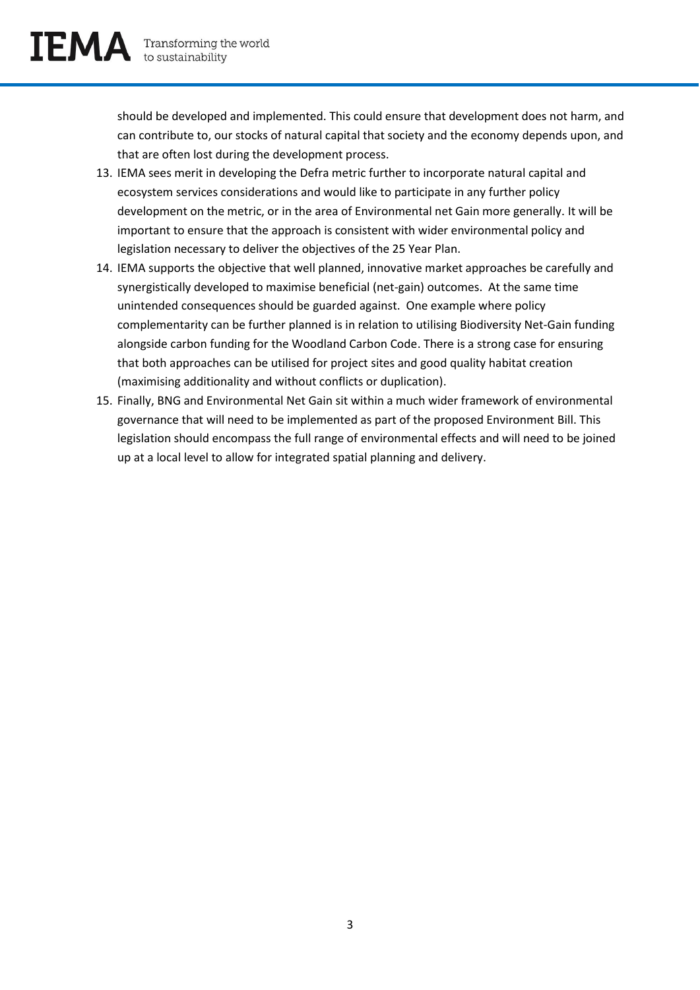should be developed and implemented. This could ensure that development does not harm, and can contribute to, our stocks of natural capital that society and the economy depends upon, and that are often lost during the development process.

- 13. IEMA sees merit in developing the Defra metric further to incorporate natural capital and ecosystem services considerations and would like to participate in any further policy development on the metric, or in the area of Environmental net Gain more generally. It will be important to ensure that the approach is consistent with wider environmental policy and legislation necessary to deliver the objectives of the 25 Year Plan.
- 14. IEMA supports the objective that well planned, innovative market approaches be carefully and synergistically developed to maximise beneficial (net-gain) outcomes. At the same time unintended consequences should be guarded against. One example where policy complementarity can be further planned is in relation to utilising Biodiversity Net-Gain funding alongside carbon funding for the Woodland Carbon Code. There is a strong case for ensuring that both approaches can be utilised for project sites and good quality habitat creation (maximising additionality and without conflicts or duplication).
- 15. Finally, BNG and Environmental Net Gain sit within a much wider framework of environmental governance that will need to be implemented as part of the proposed Environment Bill. This legislation should encompass the full range of environmental effects and will need to be joined up at a local level to allow for integrated spatial planning and delivery.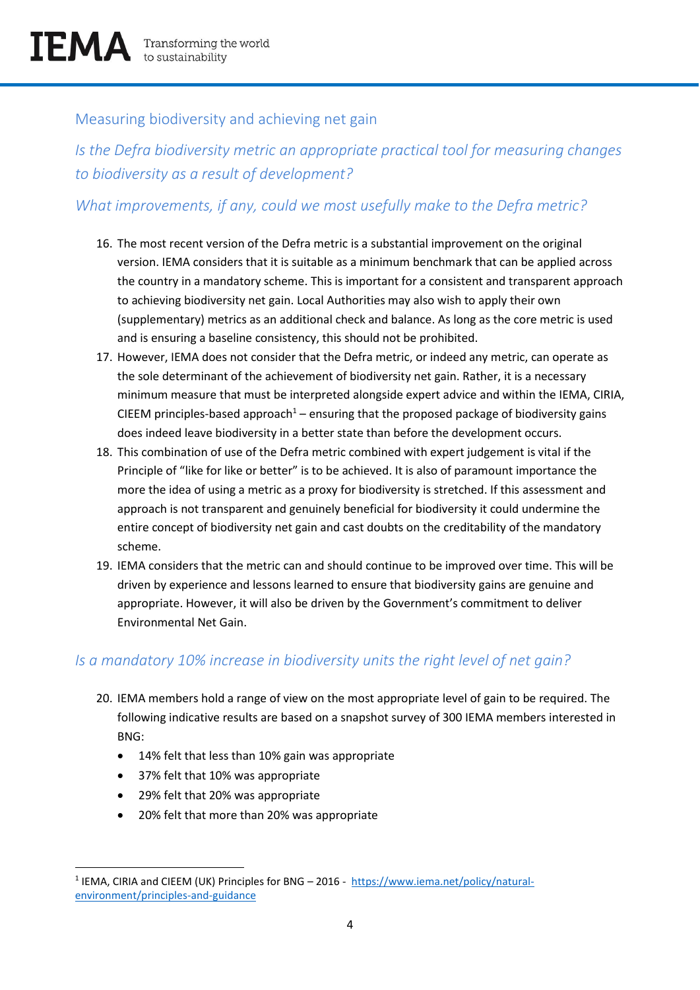## Measuring biodiversity and achieving net gain

*Is the Defra biodiversity metric an appropriate practical tool for measuring changes to biodiversity as a result of development?*

### *What improvements, if any, could we most usefully make to the Defra metric?*

- 16. The most recent version of the Defra metric is a substantial improvement on the original version. IEMA considers that it is suitable as a minimum benchmark that can be applied across the country in a mandatory scheme. This is important for a consistent and transparent approach to achieving biodiversity net gain. Local Authorities may also wish to apply their own (supplementary) metrics as an additional check and balance. As long as the core metric is used and is ensuring a baseline consistency, this should not be prohibited.
- 17. However, IEMA does not consider that the Defra metric, or indeed any metric, can operate as the sole determinant of the achievement of biodiversity net gain. Rather, it is a necessary minimum measure that must be interpreted alongside expert advice and within the IEMA, CIRIA, CIEEM principles-based approach<sup>1</sup> – ensuring that the proposed package of biodiversity gains does indeed leave biodiversity in a better state than before the development occurs.
- 18. This combination of use of the Defra metric combined with expert judgement is vital if the Principle of "like for like or better" is to be achieved. It is also of paramount importance the more the idea of using a metric as a proxy for biodiversity is stretched. If this assessment and approach is not transparent and genuinely beneficial for biodiversity it could undermine the entire concept of biodiversity net gain and cast doubts on the creditability of the mandatory scheme.
- 19. IEMA considers that the metric can and should continue to be improved over time. This will be driven by experience and lessons learned to ensure that biodiversity gains are genuine and appropriate. However, it will also be driven by the Government's commitment to deliver Environmental Net Gain.

#### *Is a mandatory 10% increase in biodiversity units the right level of net gain?*

- 20. IEMA members hold a range of view on the most appropriate level of gain to be required. The following indicative results are based on a snapshot survey of 300 IEMA members interested in BNG:
	- 14% felt that less than 10% gain was appropriate
	- 37% felt that 10% was appropriate
	- 29% felt that 20% was appropriate
	- 20% felt that more than 20% was appropriate

 $\overline{\phantom{a}}$ <sup>1</sup> IEMA, CIRIA and CIEEM (UK) Principles for BNG – 2016 - [https://www.iema.net/policy/natural](https://www.iema.net/policy/natural-environment/principles-and-guidance)[environment/principles-and-guidance](https://www.iema.net/policy/natural-environment/principles-and-guidance)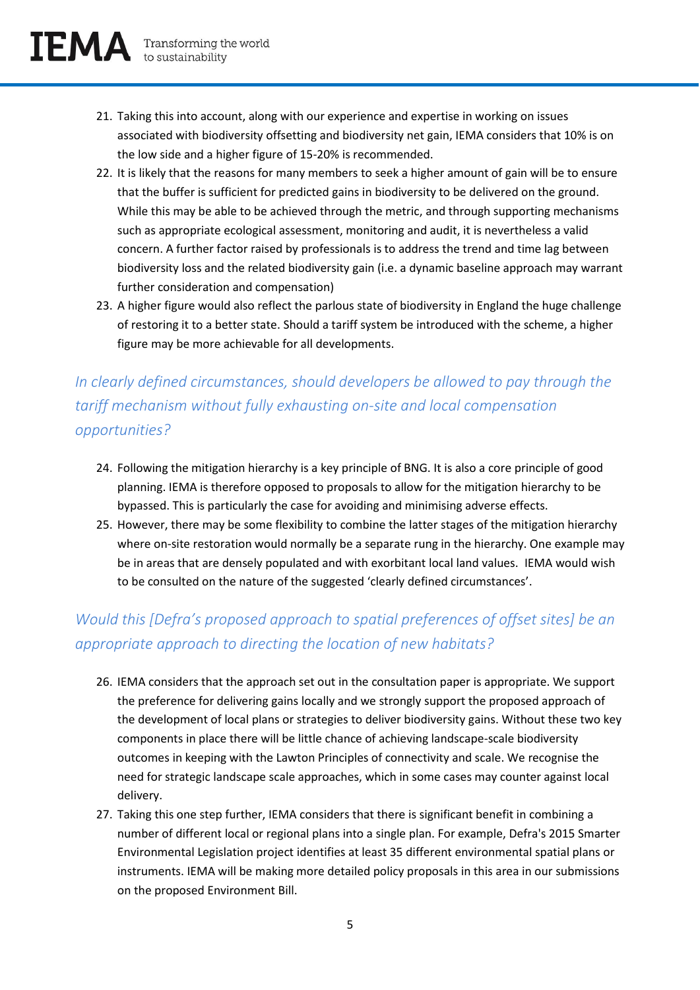

- 21. Taking this into account, along with our experience and expertise in working on issues associated with biodiversity offsetting and biodiversity net gain, IEMA considers that 10% is on the low side and a higher figure of 15-20% is recommended.
- 22. It is likely that the reasons for many members to seek a higher amount of gain will be to ensure that the buffer is sufficient for predicted gains in biodiversity to be delivered on the ground. While this may be able to be achieved through the metric, and through supporting mechanisms such as appropriate ecological assessment, monitoring and audit, it is nevertheless a valid concern. A further factor raised by professionals is to address the trend and time lag between biodiversity loss and the related biodiversity gain (i.e. a dynamic baseline approach may warrant further consideration and compensation)
- 23. A higher figure would also reflect the parlous state of biodiversity in England the huge challenge of restoring it to a better state. Should a tariff system be introduced with the scheme, a higher figure may be more achievable for all developments.

## *In clearly defined circumstances, should developers be allowed to pay through the tariff mechanism without fully exhausting on-site and local compensation opportunities?*

- 24. Following the mitigation hierarchy is a key principle of BNG. It is also a core principle of good planning. IEMA is therefore opposed to proposals to allow for the mitigation hierarchy to be bypassed. This is particularly the case for avoiding and minimising adverse effects.
- 25. However, there may be some flexibility to combine the latter stages of the mitigation hierarchy where on-site restoration would normally be a separate rung in the hierarchy. One example may be in areas that are densely populated and with exorbitant local land values. IEMA would wish to be consulted on the nature of the suggested 'clearly defined circumstances'.

## *Would this [Defra's proposed approach to spatial preferences of offset sites] be an appropriate approach to directing the location of new habitats?*

- 26. IEMA considers that the approach set out in the consultation paper is appropriate. We support the preference for delivering gains locally and we strongly support the proposed approach of the development of local plans or strategies to deliver biodiversity gains. Without these two key components in place there will be little chance of achieving landscape-scale biodiversity outcomes in keeping with the Lawton Principles of connectivity and scale. We recognise the need for strategic landscape scale approaches, which in some cases may counter against local delivery.
- 27. Taking this one step further, IEMA considers that there is significant benefit in combining a number of different local or regional plans into a single plan. For example, Defra's 2015 Smarter Environmental Legislation project identifies at least 35 different environmental spatial plans or instruments. IEMA will be making more detailed policy proposals in this area in our submissions on the proposed Environment Bill.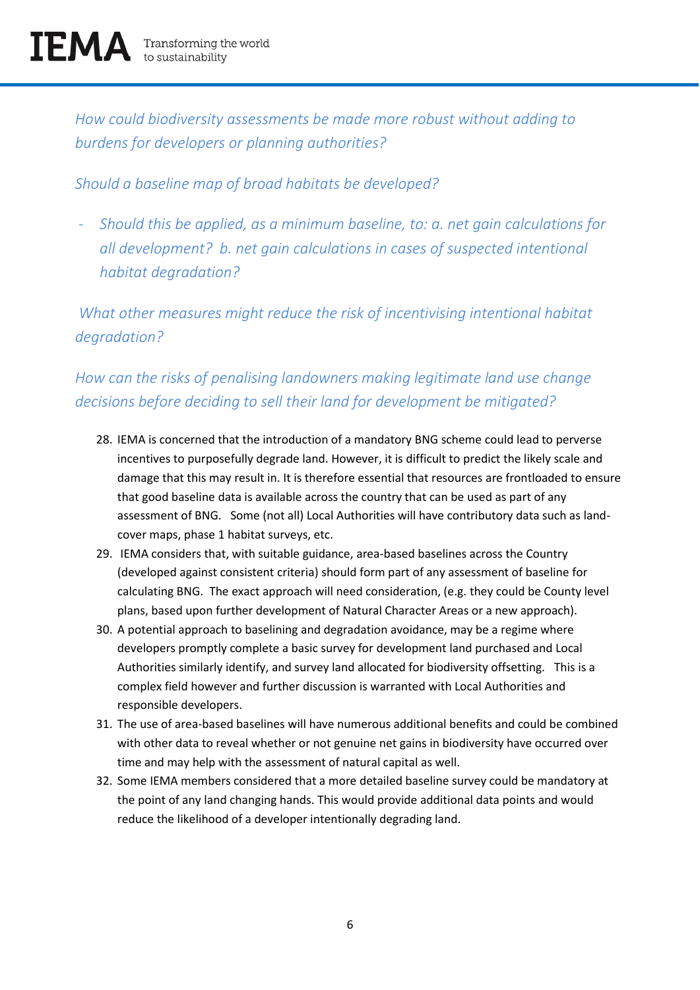*How could biodiversity assessments be made more robust without adding to burdens for developers or planning authorities?* 

#### *Should a baseline map of broad habitats be developed?*

- *Should this be applied, as a minimum baseline, to: a. net gain calculations for all development? b. net gain calculations in cases of suspected intentional habitat degradation?*

*What other measures might reduce the risk of incentivising intentional habitat degradation?*

## *How can the risks of penalising landowners making legitimate land use change decisions before deciding to sell their land for development be mitigated?*

- 28. IEMA is concerned that the introduction of a mandatory BNG scheme could lead to perverse incentives to purposefully degrade land. However, it is difficult to predict the likely scale and damage that this may result in. It is therefore essential that resources are frontloaded to ensure that good baseline data is available across the country that can be used as part of any assessment of BNG. Some (not all) Local Authorities will have contributory data such as landcover maps, phase 1 habitat surveys, etc.
- 29. IEMA considers that, with suitable guidance, area-based baselines across the Country (developed against consistent criteria) should form part of any assessment of baseline for calculating BNG. The exact approach will need consideration, (e.g. they could be County level plans, based upon further development of Natural Character Areas or a new approach).
- 30. A potential approach to baselining and degradation avoidance, may be a regime where developers promptly complete a basic survey for development land purchased and Local Authorities similarly identify, and survey land allocated for biodiversity offsetting. This is a complex field however and further discussion is warranted with Local Authorities and responsible developers.
- 31. The use of area-based baselines will have numerous additional benefits and could be combined with other data to reveal whether or not genuine net gains in biodiversity have occurred over time and may help with the assessment of natural capital as well.
- 32. Some IEMA members considered that a more detailed baseline survey could be mandatory at the point of any land changing hands. This would provide additional data points and would reduce the likelihood of a developer intentionally degrading land.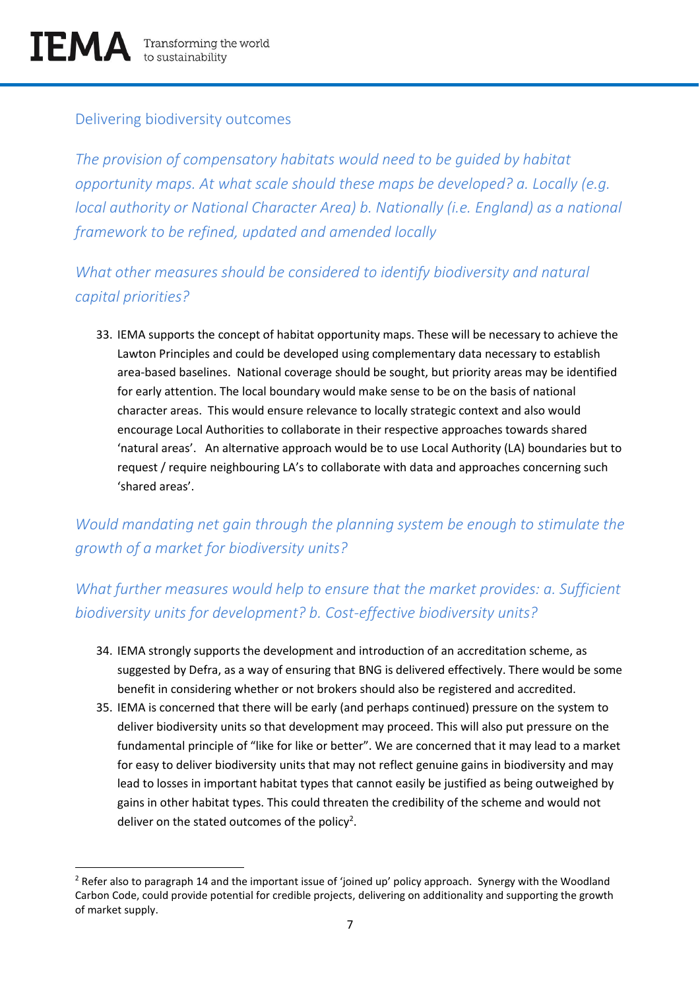$\overline{\phantom{a}}$ 

#### Delivering biodiversity outcomes

*The provision of compensatory habitats would need to be guided by habitat opportunity maps. At what scale should these maps be developed? a. Locally (e.g. local authority or National Character Area) b. Nationally (i.e. England) as a national framework to be refined, updated and amended locally*

*What other measures should be considered to identify biodiversity and natural capital priorities?*

33. IEMA supports the concept of habitat opportunity maps. These will be necessary to achieve the Lawton Principles and could be developed using complementary data necessary to establish area-based baselines. National coverage should be sought, but priority areas may be identified for early attention. The local boundary would make sense to be on the basis of national character areas. This would ensure relevance to locally strategic context and also would encourage Local Authorities to collaborate in their respective approaches towards shared 'natural areas'. An alternative approach would be to use Local Authority (LA) boundaries but to request / require neighbouring LA's to collaborate with data and approaches concerning such 'shared areas'.

*Would mandating net gain through the planning system be enough to stimulate the growth of a market for biodiversity units?*

## *What further measures would help to ensure that the market provides: a. Sufficient biodiversity units for development? b. Cost-effective biodiversity units?*

- 34. IEMA strongly supports the development and introduction of an accreditation scheme, as suggested by Defra, as a way of ensuring that BNG is delivered effectively. There would be some benefit in considering whether or not brokers should also be registered and accredited.
- 35. IEMA is concerned that there will be early (and perhaps continued) pressure on the system to deliver biodiversity units so that development may proceed. This will also put pressure on the fundamental principle of "like for like or better". We are concerned that it may lead to a market for easy to deliver biodiversity units that may not reflect genuine gains in biodiversity and may lead to losses in important habitat types that cannot easily be justified as being outweighed by gains in other habitat types. This could threaten the credibility of the scheme and would not deliver on the stated outcomes of the policy<sup>2</sup>.

 $<sup>2</sup>$  Refer also to paragraph 14 and the important issue of 'joined up' policy approach. Synergy with the Woodland</sup> Carbon Code, could provide potential for credible projects, delivering on additionality and supporting the growth of market supply.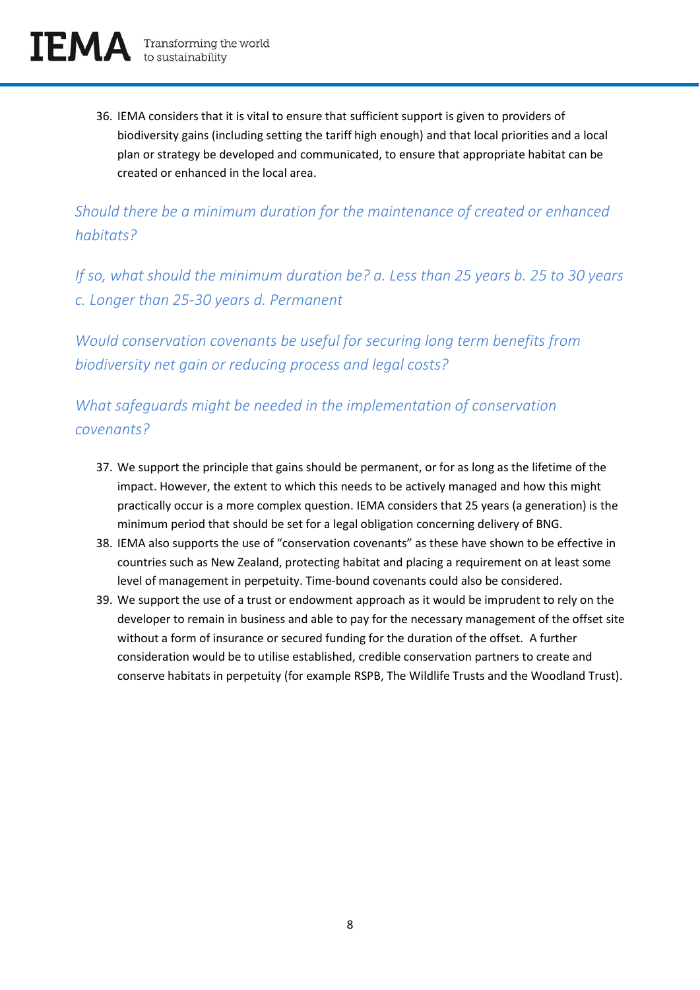36. IEMA considers that it is vital to ensure that sufficient support is given to providers of biodiversity gains (including setting the tariff high enough) and that local priorities and a local plan or strategy be developed and communicated, to ensure that appropriate habitat can be created or enhanced in the local area.

*Should there be a minimum duration for the maintenance of created or enhanced habitats?*

*If so, what should the minimum duration be? a. Less than 25 years b. 25 to 30 years c. Longer than 25-30 years d. Permanent*

*Would conservation covenants be useful for securing long term benefits from biodiversity net gain or reducing process and legal costs?*

*What safeguards might be needed in the implementation of conservation covenants?*

- 37. We support the principle that gains should be permanent, or for as long as the lifetime of the impact. However, the extent to which this needs to be actively managed and how this might practically occur is a more complex question. IEMA considers that 25 years (a generation) is the minimum period that should be set for a legal obligation concerning delivery of BNG.
- 38. IEMA also supports the use of "conservation covenants" as these have shown to be effective in countries such as New Zealand, protecting habitat and placing a requirement on at least some level of management in perpetuity. Time-bound covenants could also be considered.
- 39. We support the use of a trust or endowment approach as it would be imprudent to rely on the developer to remain in business and able to pay for the necessary management of the offset site without a form of insurance or secured funding for the duration of the offset. A further consideration would be to utilise established, credible conservation partners to create and conserve habitats in perpetuity (for example RSPB, The Wildlife Trusts and the Woodland Trust).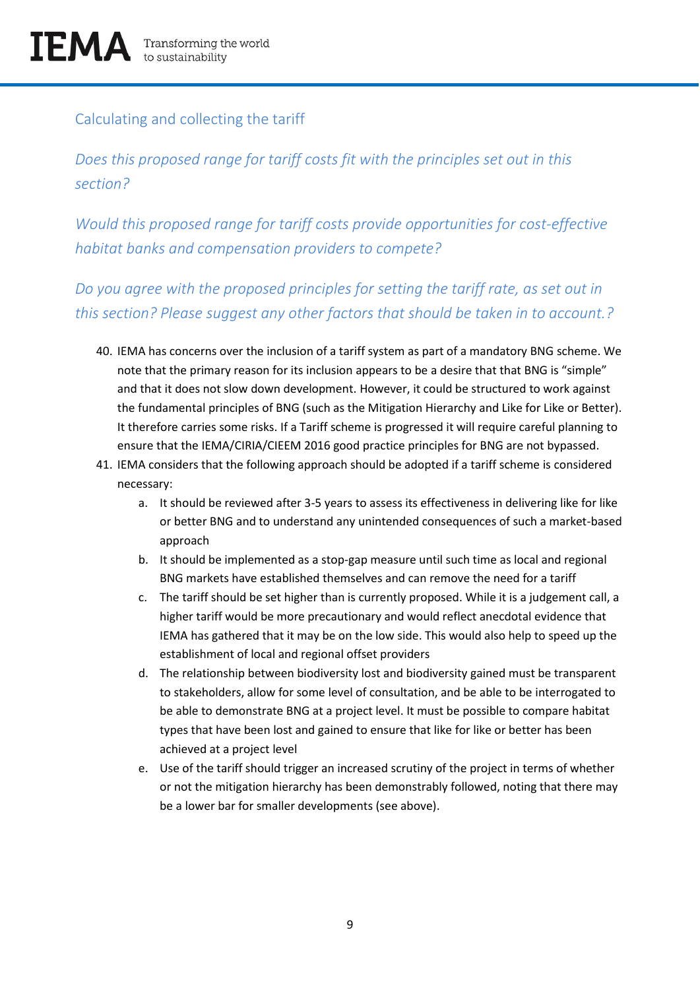## Calculating and collecting the tariff

*Does this proposed range for tariff costs fit with the principles set out in this section?*

*Would this proposed range for tariff costs provide opportunities for cost-effective habitat banks and compensation providers to compete?*

*Do you agree with the proposed principles for setting the tariff rate, as set out in this section? Please suggest any other factors that should be taken in to account.?* 

- 40. IEMA has concerns over the inclusion of a tariff system as part of a mandatory BNG scheme. We note that the primary reason for its inclusion appears to be a desire that that BNG is "simple" and that it does not slow down development. However, it could be structured to work against the fundamental principles of BNG (such as the Mitigation Hierarchy and Like for Like or Better). It therefore carries some risks. If a Tariff scheme is progressed it will require careful planning to ensure that the IEMA/CIRIA/CIEEM 2016 good practice principles for BNG are not bypassed.
- 41. IEMA considers that the following approach should be adopted if a tariff scheme is considered necessary:
	- a. It should be reviewed after 3-5 years to assess its effectiveness in delivering like for like or better BNG and to understand any unintended consequences of such a market-based approach
	- b. It should be implemented as a stop-gap measure until such time as local and regional BNG markets have established themselves and can remove the need for a tariff
	- c. The tariff should be set higher than is currently proposed. While it is a judgement call, a higher tariff would be more precautionary and would reflect anecdotal evidence that IEMA has gathered that it may be on the low side. This would also help to speed up the establishment of local and regional offset providers
	- d. The relationship between biodiversity lost and biodiversity gained must be transparent to stakeholders, allow for some level of consultation, and be able to be interrogated to be able to demonstrate BNG at a project level. It must be possible to compare habitat types that have been lost and gained to ensure that like for like or better has been achieved at a project level
	- e. Use of the tariff should trigger an increased scrutiny of the project in terms of whether or not the mitigation hierarchy has been demonstrably followed, noting that there may be a lower bar for smaller developments (see above).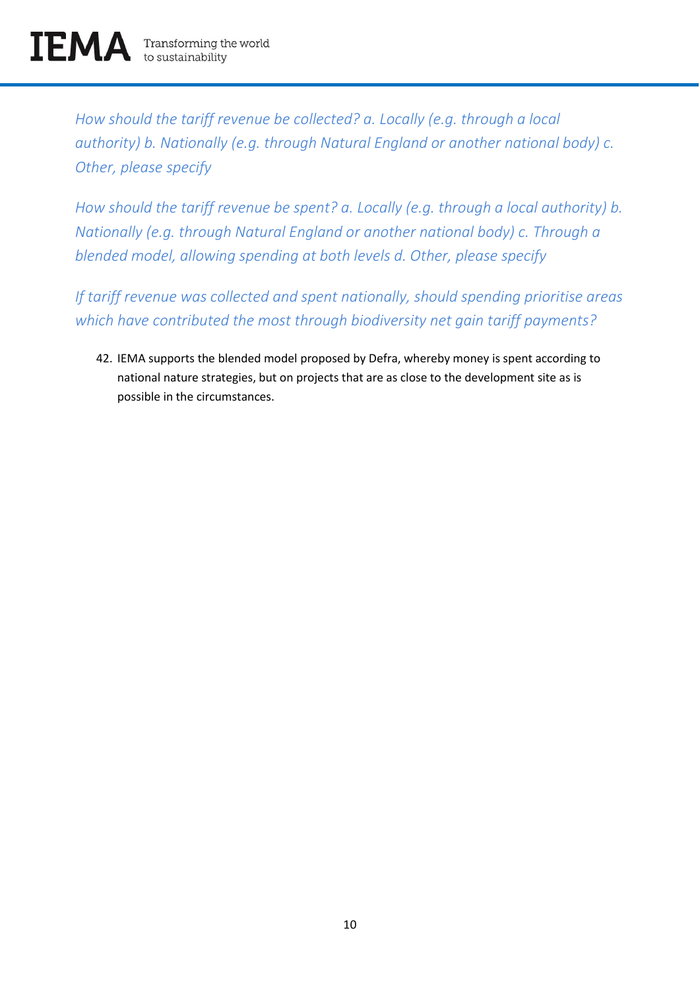*How should the tariff revenue be collected? a. Locally (e.g. through a local authority) b. Nationally (e.g. through Natural England or another national body) c. Other, please specify*

*How should the tariff revenue be spent? a. Locally (e.g. through a local authority) b. Nationally (e.g. through Natural England or another national body) c. Through a blended model, allowing spending at both levels d. Other, please specify*

*If tariff revenue was collected and spent nationally, should spending prioritise areas which have contributed the most through biodiversity net gain tariff payments?*

42. IEMA supports the blended model proposed by Defra, whereby money is spent according to national nature strategies, but on projects that are as close to the development site as is possible in the circumstances.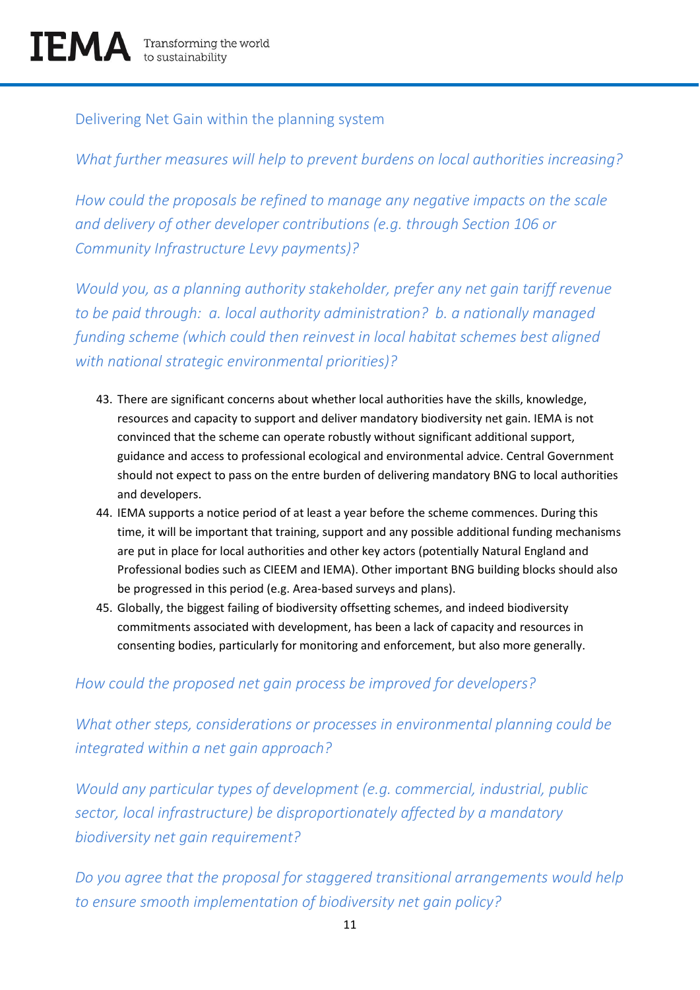#### Delivering Net Gain within the planning system

## *What further measures will help to prevent burdens on local authorities increasing?*

*How could the proposals be refined to manage any negative impacts on the scale and delivery of other developer contributions (e.g. through Section 106 or Community Infrastructure Levy payments)?*

*Would you, as a planning authority stakeholder, prefer any net gain tariff revenue to be paid through: a. local authority administration? b. a nationally managed funding scheme (which could then reinvest in local habitat schemes best aligned with national strategic environmental priorities)?*

- 43. There are significant concerns about whether local authorities have the skills, knowledge, resources and capacity to support and deliver mandatory biodiversity net gain. IEMA is not convinced that the scheme can operate robustly without significant additional support, guidance and access to professional ecological and environmental advice. Central Government should not expect to pass on the entre burden of delivering mandatory BNG to local authorities and developers.
- 44. IEMA supports a notice period of at least a year before the scheme commences. During this time, it will be important that training, support and any possible additional funding mechanisms are put in place for local authorities and other key actors (potentially Natural England and Professional bodies such as CIEEM and IEMA). Other important BNG building blocks should also be progressed in this period (e.g. Area-based surveys and plans).
- 45. Globally, the biggest failing of biodiversity offsetting schemes, and indeed biodiversity commitments associated with development, has been a lack of capacity and resources in consenting bodies, particularly for monitoring and enforcement, but also more generally.

#### *How could the proposed net gain process be improved for developers?*

*What other steps, considerations or processes in environmental planning could be integrated within a net gain approach?*

*Would any particular types of development (e.g. commercial, industrial, public sector, local infrastructure) be disproportionately affected by a mandatory biodiversity net gain requirement?*

*Do you agree that the proposal for staggered transitional arrangements would help to ensure smooth implementation of biodiversity net gain policy?*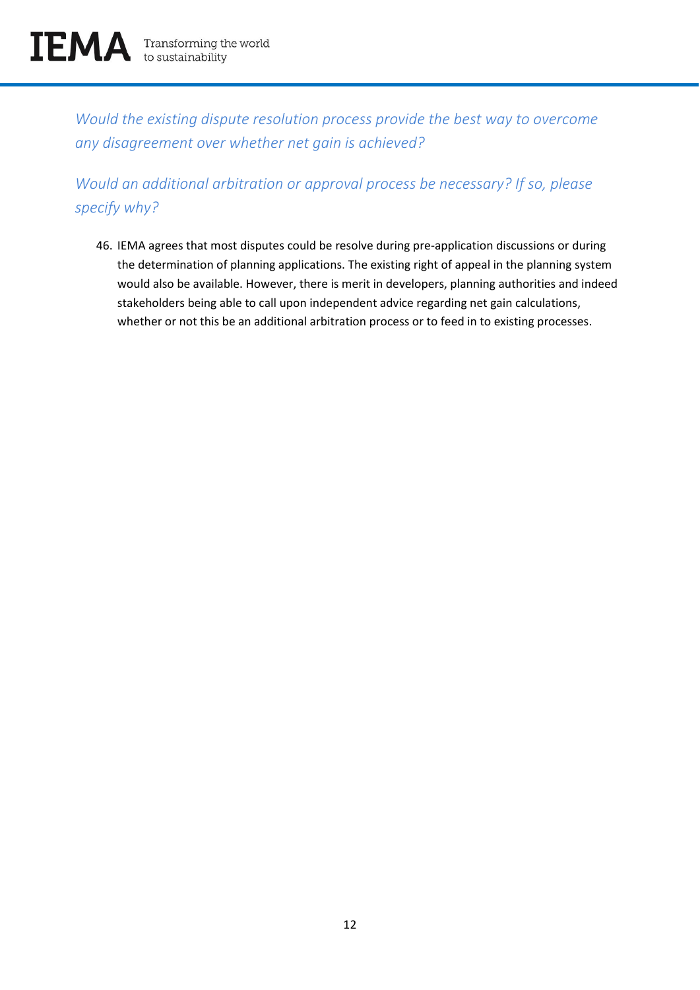*Would the existing dispute resolution process provide the best way to overcome any disagreement over whether net gain is achieved?*

*Would an additional arbitration or approval process be necessary? If so, please specify why?*

46. IEMA agrees that most disputes could be resolve during pre-application discussions or during the determination of planning applications. The existing right of appeal in the planning system would also be available. However, there is merit in developers, planning authorities and indeed stakeholders being able to call upon independent advice regarding net gain calculations, whether or not this be an additional arbitration process or to feed in to existing processes.